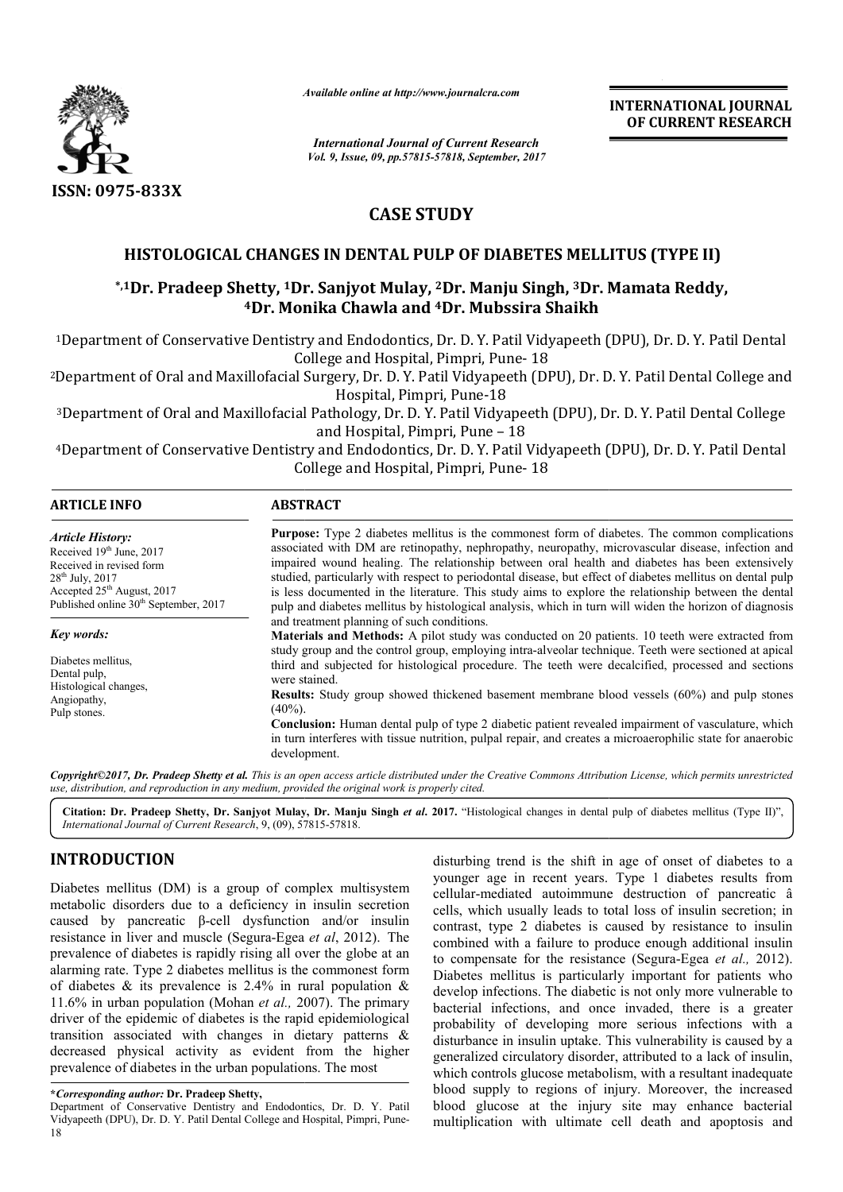

*Available online at http://www.journalcra.com*

*International Journal of Current Research Vol. 9, Issue, 09, pp.57815-57818, September, 2017* **INTERNATIONAL JOURNAL OF CURRENT RESEARCH**

# **CASE STUDY**

## **HISTOLOGICAL CHANGES IN DENTAL PULP OF DIABETES MELLITUS (TYPE II)**

### \*,1Dr. Pradeep Shetty, <sup>1</sup>Dr. Sanjyot Mulay, <sup>2</sup>Dr. Manju Singh, <sup>3</sup>Dr. Mamata Reddy, **4Dr. Monika Chawla Dr. and 4Dr. Mubssira Shaikh**

<sup>1</sup>Department of Conservative Dentistry and Endodontics, Dr. D. Y. Patil Vidyapeeth (DPU), Dr. D. Y. Patil Dental College and Hospital, Pimpri, Pune-18

<sup>2</sup>Department of Oral and Maxillofacial Surgery, Dr. D. Y. Patil Vidyapeeth (DPU), Dr. D. Y. Patil Dental College and Hospital, Pimpri, Pune-18

<sup>3</sup>Department of Oral and Maxillofacial Pathology, Dr. D. Y. Patil Vidyapeeth (DPU), Dr. D. Y. Patil Dental College appartment of Oral and Maxillofacial Pathology, Dr. D. Y. Patil Vidyapeeth (DPU), Dr. D. Y. Patil Dental College<br>and Hospital, Pimpri, Pune – 18<br>4Department of Conservative Dentistry and Endodontics, Dr. D. Y. Patil Vidyap and Hospital, Pimpri, Pune – 18

College and Hospital, Pimpri, Pune- 18

| <b>ARTICLE INFO</b>                                                                                                                                                                            | <b>ABSTRACT</b>                                                                                                                                                                                                                                                                                                                                                                                                                                                                                                                                                                                                                            |
|------------------------------------------------------------------------------------------------------------------------------------------------------------------------------------------------|--------------------------------------------------------------------------------------------------------------------------------------------------------------------------------------------------------------------------------------------------------------------------------------------------------------------------------------------------------------------------------------------------------------------------------------------------------------------------------------------------------------------------------------------------------------------------------------------------------------------------------------------|
| <b>Article History:</b><br>Received 19th June, 2017<br>Received in revised form<br>$28^{th}$ July, $2017$<br>Accepted $25th$ August, 2017<br>Published online 30 <sup>th</sup> September, 2017 | <b>Purpose:</b> Type 2 diabetes mellitus is the commonest form of diabetes. The common complications<br>associated with DM are retinopathy, nephropathy, neuropathy, microvascular disease, infection and<br>impaired wound healing. The relationship between oral health and diabetes has been extensively<br>studied, particularly with respect to periodontal disease, but effect of diabetes mellitus on dental pulp<br>is less documented in the literature. This study aims to explore the relationship between the dental<br>pulp and diabetes mellitus by histological analysis, which in turn will widen the horizon of diagnosis |
| Key words:                                                                                                                                                                                     | and treatment planning of such conditions.<br>Materials and Methods: A pilot study was conducted on 20 patients. 10 teeth were extracted from                                                                                                                                                                                                                                                                                                                                                                                                                                                                                              |
| Diabetes mellitus.<br>Dental pulp,<br>Histological changes.<br>Angiopathy,<br>Pulp stones.                                                                                                     | study group and the control group, employing intra-alveolar technique. Teeth were sectioned at apical<br>third and subjected for histological procedure. The teeth were decalcified, processed and sections<br>were stained.                                                                                                                                                                                                                                                                                                                                                                                                               |
|                                                                                                                                                                                                | <b>Results:</b> Study group showed thickened basement membrane blood vessels (60%) and pulp stones<br>$(40\%)$ .                                                                                                                                                                                                                                                                                                                                                                                                                                                                                                                           |
|                                                                                                                                                                                                | Conclusion: Human dental pulp of type 2 diabetic patient revealed impairment of vasculature, which<br>in turn interferes with tissue nutrition, pulpal repair, and creates a microaerophilic state for anaerobic<br>development.                                                                                                                                                                                                                                                                                                                                                                                                           |

Copyright©2017, Dr. Pradeep Shetty et al. This is an open access article distributed under the Creative Commons Attribution License, which permits unrestricted *use, distribution, and reproduction in any medium, provided the original work is properly cited.*

Citation: Dr. Pradeep Shetty, Dr. Sanjyot Mulay, Dr. Manju Singh et al. 2017. "Histological changes in dental pulp of diabetes mellitus (Type II)", *International Journal of Current Research*, 9, (09), 57 57815-57818.

## **INTRODUCTION**

18

Diabetes mellitus (DM) is a group of complex multisystem metabolic disorders due to a deficiency in insulin secretion caused by pancreatic β-cell dysfunction and/or insulin caused by pancreatic  $\beta$ -cell dysfunction and/or insulin resistance in liver and muscle (Segura-Egea *et al*, 2012). The prevalence of diabetes is rapidly rising all over the globe at an alarming rate. Type 2 diabetes mellitus is the commonest form of diabetes  $\&$  its prevalence is 2.4% in rural population  $\&$ 11.6% in urban population (Mohan *et al.,* 2007). The primary driver of the epidemic of diabetes is the rapid epidemiological transition associated with changes in dietary patterns & decreased physical activity as evident from the higher prevalence of diabetes in the urban populations. The most driver of the epidemic of diabetes is the rapid epidemiological<br>transition associated with changes in dietary patterns &<br>decreased physical activity as evident from the higher<br>prevalence of diabetes in the urban population disturbing trend is the shift in age of onset of diabetes to a younger age in recent years. Type 1 diabetes results from cellular-mediated autoimmune destruction of pancreatic â cells, which usually leads to total loss of insulin secretion; in contrast, type 2 diabetes is caused by resistance to insulin disturbing trend is the shift in age of onset of diabetes to a younger age in recent years. Type 1 diabetes results from cellular-mediated autoimmune destruction of pancreatic  $\hat{a}$  cells, which usually leads to total lo to compensate for the resistance (Segura-Egea et al., 2012). Diabetes mellitus is particularly important for patients who develop infections. The diabetic is not only more vulnerable to Diabetes mellitus is particularly important for patients who develop infections. The diabetic is not only more vulnerable to bacterial infections, and once invaded, there is a greater probability of developing more serious infections with a disturbance in insulin uptake. This vulnerability is caused by a generalized circulatory disorder, attributed to a lack of insulin, which controls glucose metabolism, with a resultant inadequate blood supply to regions of injury. Moreover, the increased blood glucose at the injury site may enhance bacterial multiplication with ultimate cell death and apoptosis and probability of developing more serious infections with a disturbance in insulin uptake. This vulnerability is caused by a generalized circulatory disorder, attributed to a lack of insulin, which controls glucose metabolism **EXERCATIONAL JOURNAL (CONSTRANT)**<br> **EXERCATION CONSTRANT CONSTRANT (CONSTRANT)**<br> **EXERCATIONS CONSTRANT CONSTRANT (CONSTRANT CONSTRANT)**<br> **EXERCATION CONSTRANT (CONSTRANT CONSTRANT)**<br> **EXERCATION CONSTRANT (CONSTRANT)**<br>

**<sup>\*</sup>***Corresponding author:* **Dr. Pradeep Shetty,** Vidyapeeth (DPU), Dr. D. Y. Patil Dental College and Hospital, Pimpri, Pune-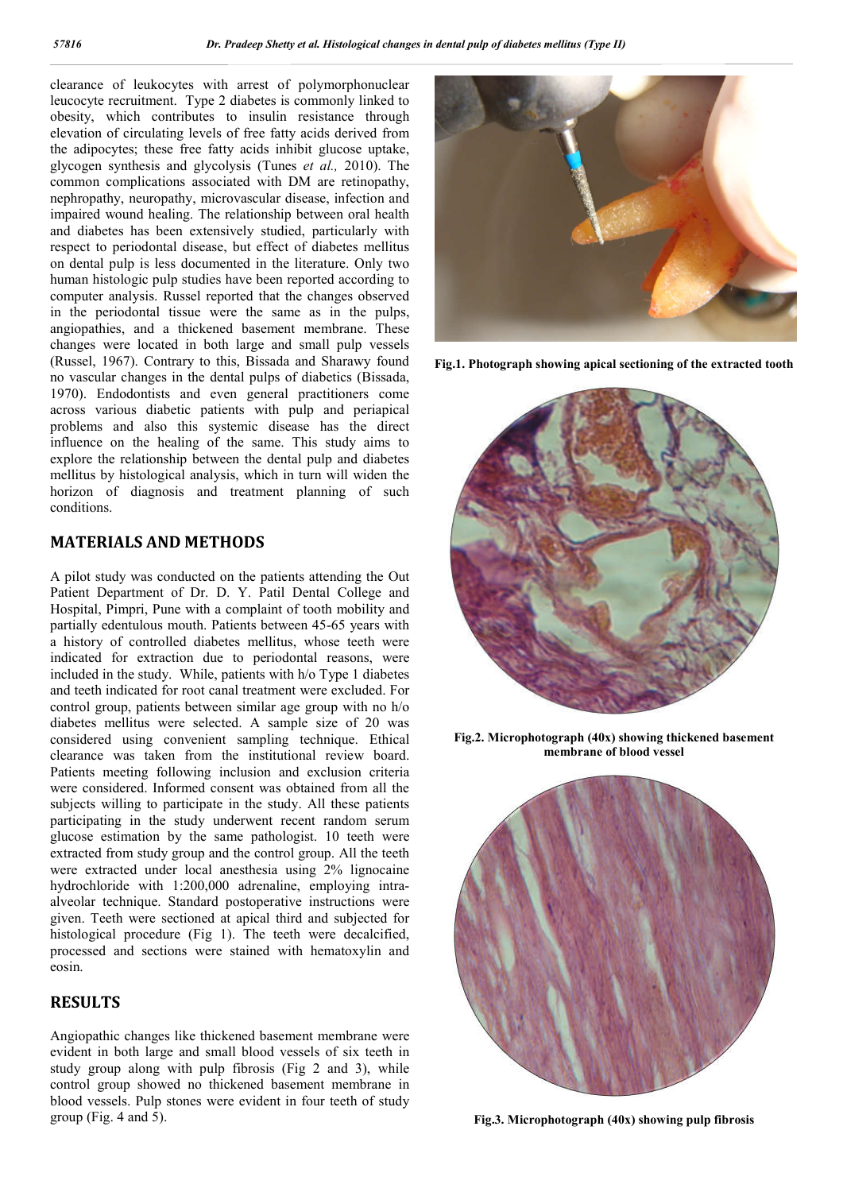clearance of leukocytes with arrest of polymorphonuclear leucocyte recruitment. Type 2 diabetes is commonly linked to obesity, which contributes to insulin resistance through elevation of circulating levels of free fatty acids derived from the adipocytes; these free fatty acids inhibit glucose uptake, glycogen synthesis and glycolysis (Tunes *et al.,* 2010). The common complications associated with DM are retinopathy, nephropathy, neuropathy, microvascular disease, infection and impaired wound healing. The relationship between oral health and diabetes has been extensively studied, particularly with respect to periodontal disease, but effect of diabetes mellitus on dental pulp is less documented in the literature. Only two human histologic pulp studies have been reported according to computer analysis. Russel reported that the changes observed in the periodontal tissue were the same as in the pulps, angiopathies, and a thickened basement membrane. These changes were located in both large and small pulp vessels (Russel, 1967). Contrary to this, Bissada and Sharawy found no vascular changes in the dental pulps of diabetics (Bissada, 1970). Endodontists and even general practitioners come across various diabetic patients with pulp and periapical problems and also this systemic disease has the direct influence on the healing of the same. This study aims to explore the relationship between the dental pulp and diabetes mellitus by histological analysis, which in turn will widen the horizon of diagnosis and treatment planning of such conditions.

### **MATERIALS AND METHODS**

A pilot study was conducted on the patients attending the Out Patient Department of Dr. D. Y. Patil Dental College and Hospital, Pimpri, Pune with a complaint of tooth mobility and partially edentulous mouth. Patients between 45-65 years with a history of controlled diabetes mellitus, whose teeth were indicated for extraction due to periodontal reasons, were included in the study. While, patients with h/o Type 1 diabetes and teeth indicated for root canal treatment were excluded. For control group, patients between similar age group with no h/o diabetes mellitus were selected. A sample size of 20 was considered using convenient sampling technique. Ethical clearance was taken from the institutional review board. Patients meeting following inclusion and exclusion criteria were considered. Informed consent was obtained from all the subjects willing to participate in the study. All these patients participating in the study underwent recent random serum glucose estimation by the same pathologist. 10 teeth were extracted from study group and the control group. All the teeth were extracted under local anesthesia using 2% lignocaine hydrochloride with 1:200,000 adrenaline, employing intraalveolar technique. Standard postoperative instructions were given. Teeth were sectioned at apical third and subjected for histological procedure (Fig 1). The teeth were decalcified, processed and sections were stained with hematoxylin and eosin.

### **RESULTS**

Angiopathic changes like thickened basement membrane were evident in both large and small blood vessels of six teeth in study group along with pulp fibrosis (Fig 2 and 3), while control group showed no thickened basement membrane in blood vessels. Pulp stones were evident in four teeth of study group (Fig. 4 and 5).



**Fig.1. Photograph showing apical sectioning of the extracted tooth**



**Fig.2. Microphotograph (40x) showing thickened basement membrane of blood vessel**



**Fig.3. Microphotograph (40x) showing pulp fibrosis**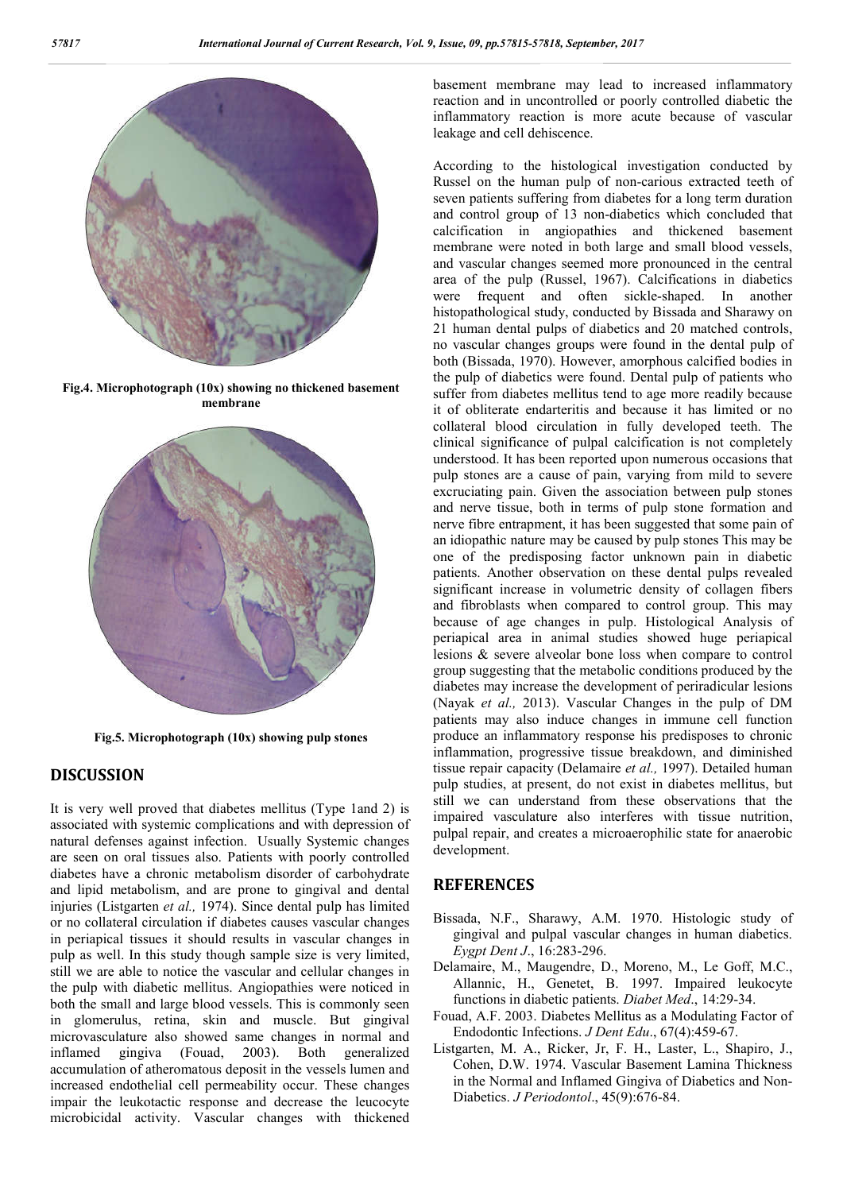

**Fig.4. Microphotograph (10x) showing no thickened basement membrane**



**Fig.5. Microphotograph (10x) showing pulp stones**

#### **DISCUSSION**

It is very well proved that diabetes mellitus (Type 1and 2) is associated with systemic complications and with depression of natural defenses against infection. Usually Systemic changes are seen on oral tissues also. Patients with poorly controlled diabetes have a chronic metabolism disorder of carbohydrate and lipid metabolism, and are prone to gingival and dental injuries (Listgarten *et al.,* 1974). Since dental pulp has limited or no collateral circulation if diabetes causes vascular changes in periapical tissues it should results in vascular changes in pulp as well. In this study though sample size is very limited, still we are able to notice the vascular and cellular changes in the pulp with diabetic mellitus. Angiopathies were noticed in both the small and large blood vessels. This is commonly seen in glomerulus, retina, skin and muscle. But gingival microvasculature also showed same changes in normal and inflamed gingiva (Fouad, 2003). Both generalized accumulation of atheromatous deposit in the vessels lumen and increased endothelial cell permeability occur. These changes impair the leukotactic response and decrease the leucocyte microbicidal activity. Vascular changes with thickened

basement membrane may lead to increased inflammatory reaction and in uncontrolled or poorly controlled diabetic the inflammatory reaction is more acute because of vascular leakage and cell dehiscence.

According to the histological investigation conducted by Russel on the human pulp of non-carious extracted teeth of seven patients suffering from diabetes for a long term duration and control group of 13 non-diabetics which concluded that calcification in angiopathies and thickened basement membrane were noted in both large and small blood vessels, and vascular changes seemed more pronounced in the central area of the pulp (Russel, 1967). Calcifications in diabetics were frequent and often sickle-shaped. In another histopathological study, conducted by Bissada and Sharawy on 21 human dental pulps of diabetics and 20 matched controls, no vascular changes groups were found in the dental pulp of both (Bissada, 1970). However, amorphous calcified bodies in the pulp of diabetics were found. Dental pulp of patients who suffer from diabetes mellitus tend to age more readily because it of obliterate endarteritis and because it has limited or no collateral blood circulation in fully developed teeth. The clinical significance of pulpal calcification is not completely understood. It has been reported upon numerous occasions that pulp stones are a cause of pain, varying from mild to severe excruciating pain. Given the association between pulp stones and nerve tissue, both in terms of pulp stone formation and nerve fibre entrapment, it has been suggested that some pain of an idiopathic nature may be caused by pulp stones This may be one of the predisposing factor unknown pain in diabetic patients. Another observation on these dental pulps revealed significant increase in volumetric density of collagen fibers and fibroblasts when compared to control group. This may because of age changes in pulp. Histological Analysis of periapical area in animal studies showed huge periapical lesions & severe alveolar bone loss when compare to control group suggesting that the metabolic conditions produced by the diabetes may increase the development of periradicular lesions (Nayak *et al.,* 2013). Vascular Changes in the pulp of DM patients may also induce changes in immune cell function produce an inflammatory response his predisposes to chronic inflammation, progressive tissue breakdown, and diminished tissue repair capacity (Delamaire *et al.,* 1997). Detailed human pulp studies, at present, do not exist in diabetes mellitus, but still we can understand from these observations that the impaired vasculature also interferes with tissue nutrition, pulpal repair, and creates a microaerophilic state for anaerobic development.

#### **REFERENCES**

- Bissada, N.F., Sharawy, A.M. 1970. Histologic study of gingival and pulpal vascular changes in human diabetics. *Eygpt Dent J*., 16:283-296.
- Delamaire, M., Maugendre, D., Moreno, M., Le Goff, M.C., Allannic, H., Genetet, B. 1997. Impaired leukocyte functions in diabetic patients. *Diabet Med*., 14:29-34.
- Fouad, A.F. 2003. Diabetes Mellitus as a Modulating Factor of Endodontic Infections. *J Dent Edu*., 67(4):459-67.
- Listgarten, M. A., Ricker, Jr, F. H., Laster, L., Shapiro, J., Cohen, D.W. 1974. Vascular Basement Lamina Thickness in the Normal and Inflamed Gingiva of Diabetics and Non-Diabetics. *J Periodontol*., 45(9):676-84.